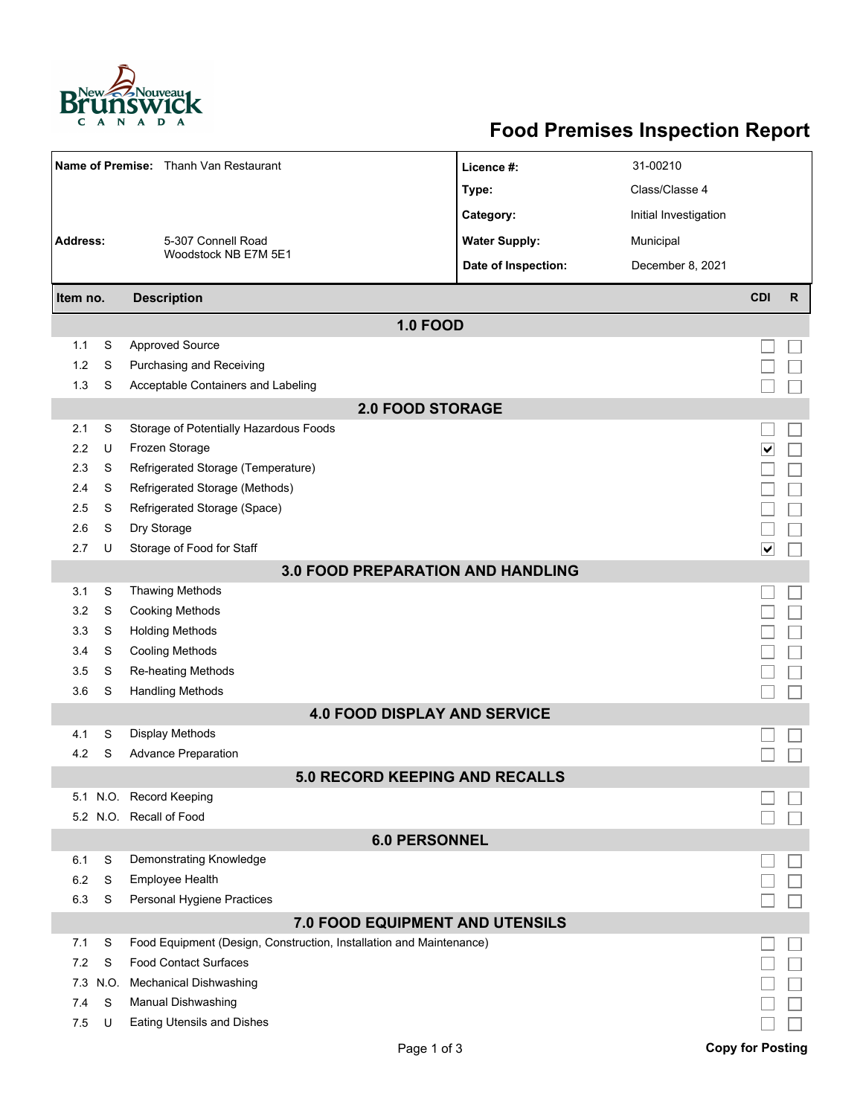

## **Food Premises Inspection Report**

| Name of Premise: Thanh Van Restaurant                         |      |                                                                     | Licence #:           | 31-00210              |                                 |              |  |  |  |  |
|---------------------------------------------------------------|------|---------------------------------------------------------------------|----------------------|-----------------------|---------------------------------|--------------|--|--|--|--|
|                                                               |      |                                                                     | Type:                | Class/Classe 4        |                                 |              |  |  |  |  |
|                                                               |      |                                                                     | Category:            | Initial Investigation |                                 |              |  |  |  |  |
| <b>Address:</b><br>5-307 Connell Road<br>Woodstock NB E7M 5E1 |      |                                                                     | <b>Water Supply:</b> | Municipal             |                                 |              |  |  |  |  |
|                                                               |      |                                                                     | Date of Inspection:  | December 8, 2021      |                                 |              |  |  |  |  |
|                                                               |      |                                                                     |                      |                       |                                 |              |  |  |  |  |
| Item no.                                                      |      | <b>Description</b>                                                  |                      |                       | <b>CDI</b>                      | $\mathsf{R}$ |  |  |  |  |
|                                                               |      | <b>1.0 FOOD</b>                                                     |                      |                       |                                 |              |  |  |  |  |
| 1.1                                                           | S    | <b>Approved Source</b>                                              |                      |                       |                                 |              |  |  |  |  |
| 1.2                                                           | S    | Purchasing and Receiving                                            |                      |                       |                                 |              |  |  |  |  |
| 1.3                                                           | S    | Acceptable Containers and Labeling                                  |                      |                       |                                 |              |  |  |  |  |
| <b>2.0 FOOD STORAGE</b>                                       |      |                                                                     |                      |                       |                                 |              |  |  |  |  |
| 2.1                                                           | S    | Storage of Potentially Hazardous Foods                              |                      |                       |                                 |              |  |  |  |  |
| 2.2                                                           | U    | Frozen Storage                                                      |                      |                       | ⊻                               |              |  |  |  |  |
| 2.3                                                           | S    | Refrigerated Storage (Temperature)                                  |                      |                       |                                 |              |  |  |  |  |
| 2.4                                                           | S    | Refrigerated Storage (Methods)                                      |                      |                       |                                 |              |  |  |  |  |
| 2.5                                                           | S    | Refrigerated Storage (Space)                                        |                      |                       |                                 |              |  |  |  |  |
| 2.6                                                           | S    | Dry Storage                                                         |                      |                       |                                 |              |  |  |  |  |
| 2.7                                                           | U    | Storage of Food for Staff                                           |                      |                       | $\overline{\blacktriangledown}$ |              |  |  |  |  |
|                                                               |      | <b>3.0 FOOD PREPARATION AND HANDLING</b>                            |                      |                       |                                 |              |  |  |  |  |
| 3.1                                                           | S    | <b>Thawing Methods</b>                                              |                      |                       |                                 |              |  |  |  |  |
| 3.2                                                           | S    | <b>Cooking Methods</b>                                              |                      |                       |                                 |              |  |  |  |  |
| 3.3                                                           | S    | <b>Holding Methods</b>                                              |                      |                       |                                 |              |  |  |  |  |
| 3.4                                                           | S    | <b>Cooling Methods</b>                                              |                      |                       |                                 |              |  |  |  |  |
| 3.5                                                           | S    | Re-heating Methods                                                  |                      |                       |                                 |              |  |  |  |  |
| 3.6                                                           | S    | <b>Handling Methods</b>                                             |                      |                       |                                 |              |  |  |  |  |
|                                                               |      | <b>4.0 FOOD DISPLAY AND SERVICE</b>                                 |                      |                       |                                 |              |  |  |  |  |
| 4.1                                                           | S    | Display Methods                                                     |                      |                       |                                 |              |  |  |  |  |
| 4.2                                                           | S    | <b>Advance Preparation</b>                                          |                      |                       |                                 |              |  |  |  |  |
|                                                               |      | 5.0 RECORD KEEPING AND RECALLS                                      |                      |                       |                                 |              |  |  |  |  |
|                                                               |      | 5.1 N.O. Record Keeping                                             |                      |                       |                                 |              |  |  |  |  |
|                                                               |      | 5.2 N.O. Recall of Food                                             |                      |                       |                                 |              |  |  |  |  |
|                                                               |      | <b>6.0 PERSONNEL</b>                                                |                      |                       |                                 |              |  |  |  |  |
| 6.1                                                           | S    | Demonstrating Knowledge                                             |                      |                       |                                 |              |  |  |  |  |
| 6.2                                                           | S    | <b>Employee Health</b>                                              |                      |                       |                                 |              |  |  |  |  |
| 6.3                                                           | S    | Personal Hygiene Practices                                          |                      |                       |                                 |              |  |  |  |  |
|                                                               |      | 7.0 FOOD EQUIPMENT AND UTENSILS                                     |                      |                       |                                 |              |  |  |  |  |
| 7.1                                                           | S    | Food Equipment (Design, Construction, Installation and Maintenance) |                      |                       |                                 |              |  |  |  |  |
| 7.2                                                           | S    | <b>Food Contact Surfaces</b>                                        |                      |                       |                                 |              |  |  |  |  |
| 7.3                                                           | N.O. | <b>Mechanical Dishwashing</b>                                       |                      |                       |                                 |              |  |  |  |  |
| 7.4                                                           | S    | Manual Dishwashing                                                  |                      |                       |                                 |              |  |  |  |  |
| 7.5                                                           | U    | Eating Utensils and Dishes                                          |                      |                       |                                 |              |  |  |  |  |
|                                                               |      | Page 1 of 3                                                         |                      |                       | <b>Copy for Posting</b>         |              |  |  |  |  |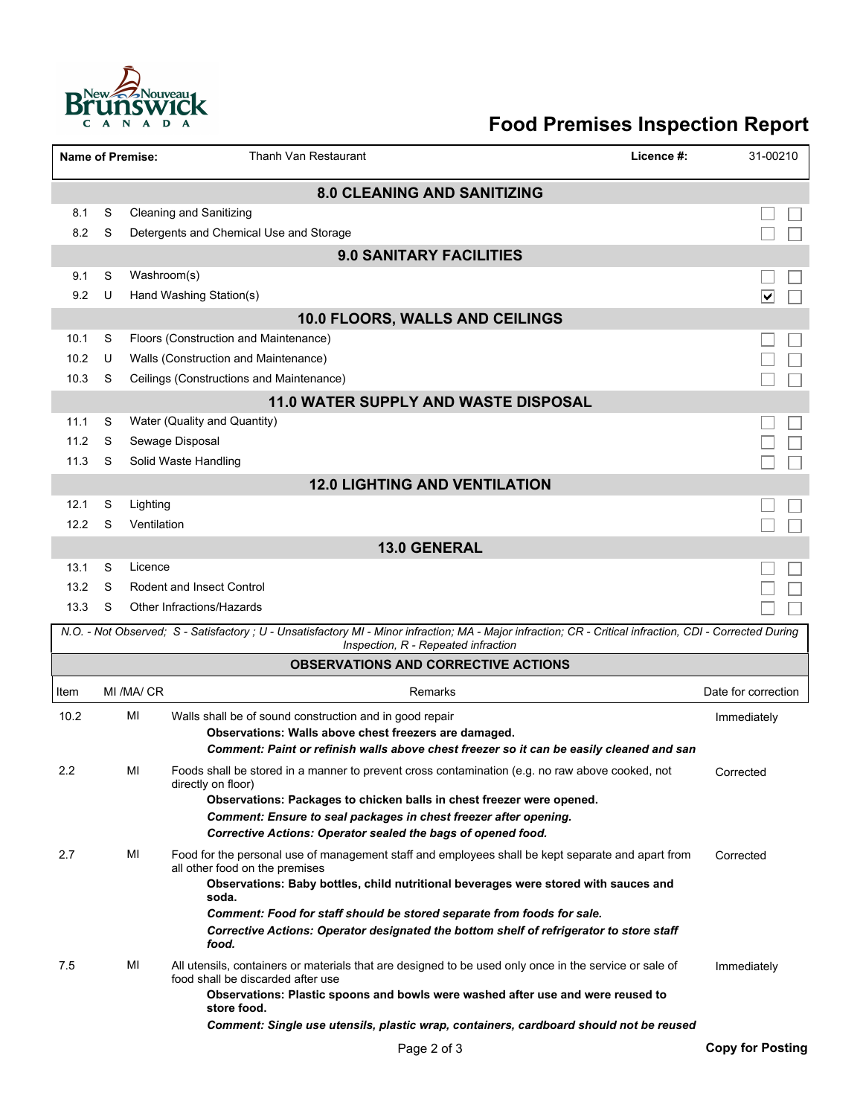

## **Food Premises Inspection Report**

|                                    |                                 | <b>Name of Premise:</b> | Thanh Van Restaurant<br>Licence #:                                                                                                                                                               | 31-00210                |  |  |  |  |  |  |
|------------------------------------|---------------------------------|-------------------------|--------------------------------------------------------------------------------------------------------------------------------------------------------------------------------------------------|-------------------------|--|--|--|--|--|--|
| <b>8.0 CLEANING AND SANITIZING</b> |                                 |                         |                                                                                                                                                                                                  |                         |  |  |  |  |  |  |
| 8.1                                | S                               |                         | <b>Cleaning and Sanitizing</b>                                                                                                                                                                   |                         |  |  |  |  |  |  |
| 8.2                                | S                               |                         | Detergents and Chemical Use and Storage                                                                                                                                                          |                         |  |  |  |  |  |  |
|                                    |                                 |                         | <b>9.0 SANITARY FACILITIES</b>                                                                                                                                                                   |                         |  |  |  |  |  |  |
| 9.1                                | S                               | Washroom(s)             |                                                                                                                                                                                                  |                         |  |  |  |  |  |  |
| 9.2                                | U                               |                         | Hand Washing Station(s)                                                                                                                                                                          | ∨                       |  |  |  |  |  |  |
|                                    | 10.0 FLOORS, WALLS AND CEILINGS |                         |                                                                                                                                                                                                  |                         |  |  |  |  |  |  |
| 10.1                               | S                               |                         | Floors (Construction and Maintenance)                                                                                                                                                            |                         |  |  |  |  |  |  |
| 10.2                               | U                               |                         | Walls (Construction and Maintenance)                                                                                                                                                             |                         |  |  |  |  |  |  |
| 10.3                               | S                               |                         | Ceilings (Constructions and Maintenance)                                                                                                                                                         |                         |  |  |  |  |  |  |
|                                    |                                 |                         | 11.0 WATER SUPPLY AND WASTE DISPOSAL                                                                                                                                                             |                         |  |  |  |  |  |  |
| 11.1                               | S                               |                         | Water (Quality and Quantity)                                                                                                                                                                     |                         |  |  |  |  |  |  |
| 11.2                               | S                               |                         | Sewage Disposal                                                                                                                                                                                  |                         |  |  |  |  |  |  |
| 11.3                               | S                               |                         | Solid Waste Handling                                                                                                                                                                             |                         |  |  |  |  |  |  |
|                                    |                                 |                         | <b>12.0 LIGHTING AND VENTILATION</b>                                                                                                                                                             |                         |  |  |  |  |  |  |
| 12.1                               | S                               | Lighting                |                                                                                                                                                                                                  |                         |  |  |  |  |  |  |
| 12.2                               | S                               | Ventilation             |                                                                                                                                                                                                  |                         |  |  |  |  |  |  |
|                                    |                                 |                         | <b>13.0 GENERAL</b>                                                                                                                                                                              |                         |  |  |  |  |  |  |
| 13.1                               | S                               | Licence                 |                                                                                                                                                                                                  |                         |  |  |  |  |  |  |
| 13.2                               | S                               |                         | <b>Rodent and Insect Control</b>                                                                                                                                                                 |                         |  |  |  |  |  |  |
| 13.3                               | S                               |                         | Other Infractions/Hazards                                                                                                                                                                        |                         |  |  |  |  |  |  |
|                                    |                                 |                         | N.O. - Not Observed; S - Satisfactory ; U - Unsatisfactory MI - Minor infraction; MA - Major infraction; CR - Critical infraction, CDI - Corrected During<br>Inspection, R - Repeated infraction |                         |  |  |  |  |  |  |
|                                    |                                 |                         | <b>OBSERVATIONS AND CORRECTIVE ACTIONS</b>                                                                                                                                                       |                         |  |  |  |  |  |  |
| Item                               |                                 | MI /MA/ CR              | Remarks                                                                                                                                                                                          | Date for correction     |  |  |  |  |  |  |
| 10.2                               |                                 | MI                      | Walls shall be of sound construction and in good repair                                                                                                                                          | Immediately             |  |  |  |  |  |  |
|                                    |                                 |                         | Observations: Walls above chest freezers are damaged.                                                                                                                                            |                         |  |  |  |  |  |  |
|                                    |                                 |                         | Comment: Paint or refinish walls above chest freezer so it can be easily cleaned and san                                                                                                         |                         |  |  |  |  |  |  |
| 2.2                                |                                 | МI                      | Foods shall be stored in a manner to prevent cross contamination (e.g. no raw above cooked, not<br>directly on floor)                                                                            | Corrected               |  |  |  |  |  |  |
|                                    |                                 |                         | Observations: Packages to chicken balls in chest freezer were opened.                                                                                                                            |                         |  |  |  |  |  |  |
|                                    |                                 |                         | Comment: Ensure to seal packages in chest freezer after opening.                                                                                                                                 |                         |  |  |  |  |  |  |
|                                    |                                 |                         | Corrective Actions: Operator sealed the bags of opened food.                                                                                                                                     |                         |  |  |  |  |  |  |
| 2.7                                |                                 | MI                      | Food for the personal use of management staff and employees shall be kept separate and apart from<br>all other food on the premises                                                              | Corrected               |  |  |  |  |  |  |
|                                    |                                 |                         | Observations: Baby bottles, child nutritional beverages were stored with sauces and<br>soda.                                                                                                     |                         |  |  |  |  |  |  |
|                                    |                                 |                         | Comment: Food for staff should be stored separate from foods for sale.                                                                                                                           |                         |  |  |  |  |  |  |
|                                    |                                 |                         | Corrective Actions: Operator designated the bottom shelf of refrigerator to store staff<br>food.                                                                                                 |                         |  |  |  |  |  |  |
| 7.5                                |                                 | МI                      | All utensils, containers or materials that are designed to be used only once in the service or sale of<br>food shall be discarded after use                                                      | Immediately             |  |  |  |  |  |  |
|                                    |                                 |                         | Observations: Plastic spoons and bowls were washed after use and were reused to<br>store food.                                                                                                   |                         |  |  |  |  |  |  |
|                                    |                                 |                         | Comment: Single use utensils, plastic wrap, containers, cardboard should not be reused                                                                                                           |                         |  |  |  |  |  |  |
|                                    |                                 |                         | Page 2 of 3                                                                                                                                                                                      | <b>Copy for Posting</b> |  |  |  |  |  |  |